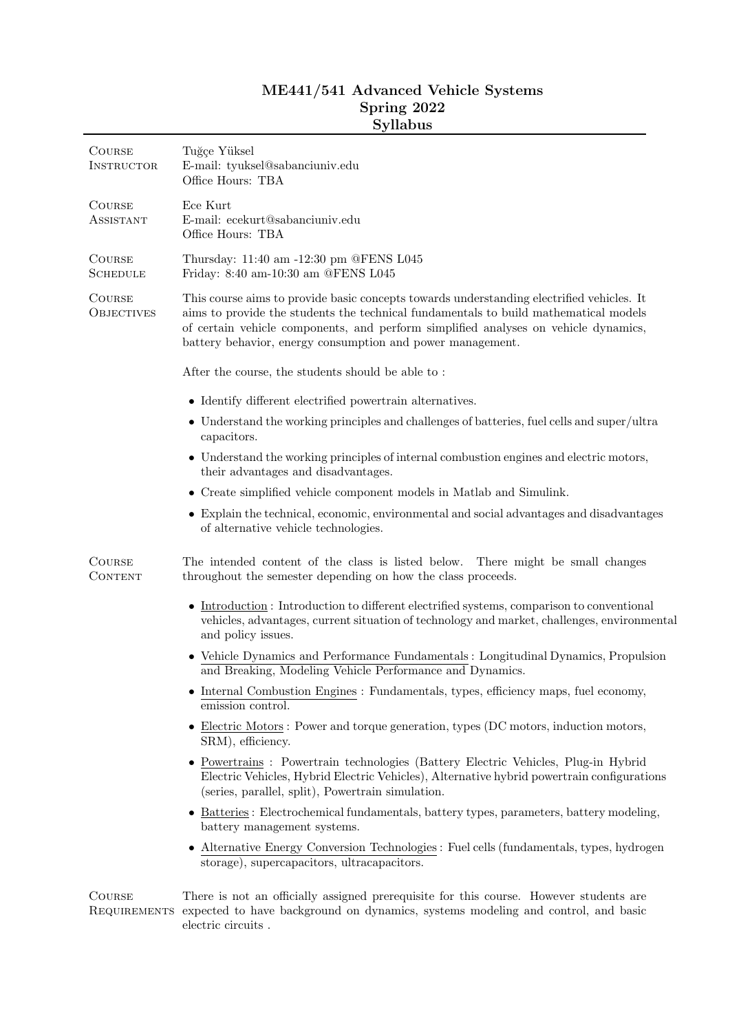## ME441/541 Advanced Vehicle Systems Spring 2022 Syllabus

| <b>COURSE</b><br><b>INSTRUCTOR</b> | Tuğçe Yüksel<br>E-mail: tyuksel@sabanciuniv.edu<br>Office Hours: TBA                                                                                                                                                                                                                                                                   |
|------------------------------------|----------------------------------------------------------------------------------------------------------------------------------------------------------------------------------------------------------------------------------------------------------------------------------------------------------------------------------------|
| <b>COURSE</b><br>ASSISTANT         | Ece Kurt<br>E-mail: ecekurt@sabanciuniv.edu<br>Office Hours: TBA                                                                                                                                                                                                                                                                       |
| <b>COURSE</b><br><b>SCHEDULE</b>   | Thursday: 11:40 am -12:30 pm @FENS L045<br>Friday: 8:40 am-10:30 am @FENS L045                                                                                                                                                                                                                                                         |
| <b>COURSE</b><br><b>OBJECTIVES</b> | This course aims to provide basic concepts towards understanding electrified vehicles. It<br>aims to provide the students the technical fundamentals to build mathematical models<br>of certain vehicle components, and perform simplified analyses on vehicle dynamics,<br>battery behavior, energy consumption and power management. |
|                                    | After the course, the students should be able to:                                                                                                                                                                                                                                                                                      |
|                                    | • Identify different electrified powertrain alternatives.                                                                                                                                                                                                                                                                              |
|                                    | $\bullet$ Understand the working principles and challenges of batteries, fuel cells and super/ultra<br>capacitors.                                                                                                                                                                                                                     |
|                                    | • Understand the working principles of internal combustion engines and electric motors,<br>their advantages and disadvantages.                                                                                                                                                                                                         |
|                                    | • Create simplified vehicle component models in Matlab and Simulink.                                                                                                                                                                                                                                                                   |
|                                    | • Explain the technical, economic, environmental and social advantages and disadvantages<br>of alternative vehicle technologies.                                                                                                                                                                                                       |
| <b>COURSE</b><br><b>CONTENT</b>    | The intended content of the class is listed below. There might be small changes<br>throughout the semester depending on how the class proceeds.                                                                                                                                                                                        |
|                                    | • Introduction: Introduction to different electrified systems, comparison to conventional<br>vehicles, advantages, current situation of technology and market, challenges, environmental<br>and policy issues.                                                                                                                         |
|                                    | • Vehicle Dynamics and Performance Fundamentals : Longitudinal Dynamics, Propulsion<br>and Breaking, Modeling Vehicle Performance and Dynamics.                                                                                                                                                                                        |
|                                    | Internal Combustion Engines : Fundamentals, types, efficiency maps, fuel economy,<br>emission control.                                                                                                                                                                                                                                 |
|                                    | • Electric Motors: Power and torque generation, types (DC motors, induction motors,<br>SRM), efficiency.                                                                                                                                                                                                                               |
|                                    | • Powertrains: Powertrain technologies (Battery Electric Vehicles, Plug-in Hybrid<br>Electric Vehicles, Hybrid Electric Vehicles), Alternative hybrid powertrain configurations<br>(series, parallel, split), Powertrain simulation.                                                                                                   |
|                                    | • Batteries : Electrochemical fundamentals, battery types, parameters, battery modeling,<br>battery management systems.                                                                                                                                                                                                                |
|                                    | • Alternative Energy Conversion Technologies : Fuel cells (fundamentals, types, hydrogen<br>storage), supercapacitors, ultracapacitors.                                                                                                                                                                                                |
| <b>COURSE</b>                      | There is not an officially assigned prerequisite for this course. However students are                                                                                                                                                                                                                                                 |

**REQUIREMENTS** expected to have background on dynamics, systems modeling and control, and basic electric circuits .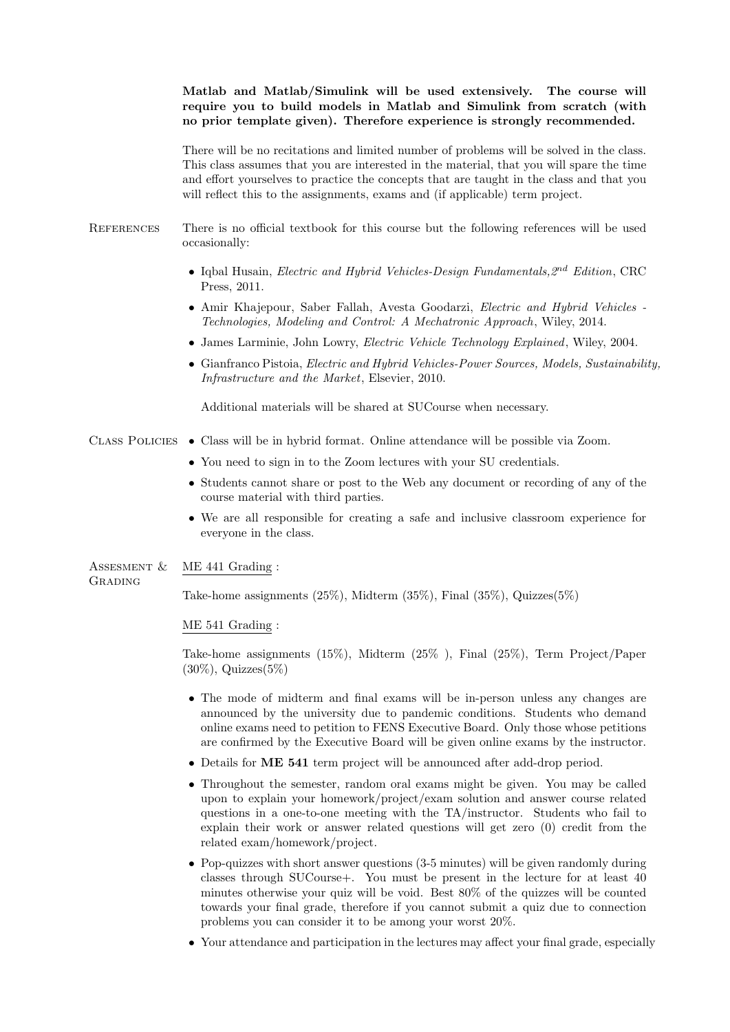## Matlab and Matlab/Simulink will be used extensively. The course will require you to build models in Matlab and Simulink from scratch (with no prior template given). Therefore experience is strongly recommended.

There will be no recitations and limited number of problems will be solved in the class. This class assumes that you are interested in the material, that you will spare the time and effort yourselves to practice the concepts that are taught in the class and that you will reflect this to the assignments, exams and (if applicable) term project.

- References There is no official textbook for this course but the following references will be used occasionally:
	- Iqbal Husain, *Electric and Hybrid Vehicles-Design Fundamentals*,  $2<sup>nd</sup>$  Edition, CRC Press, 2011.
	- Amir Khajepour, Saber Fallah, Avesta Goodarzi, Electric and Hybrid Vehicles Technologies, Modeling and Control: A Mechatronic Approach, Wiley, 2014.
	- James Larminie, John Lowry, Electric Vehicle Technology Explained, Wiley, 2004.
	- Gianfranco Pistoia, Electric and Hybrid Vehicles-Power Sources, Models, Sustainability, Infrastructure and the Market, Elsevier, 2010.

Additional materials will be shared at SUCourse when necessary.

- Class Policies Class will be in hybrid format. Online attendance will be possible via Zoom.
	- You need to sign in to the Zoom lectures with your SU credentials.
	- Students cannot share or post to the Web any document or recording of any of the course material with third parties.
	- We are all responsible for creating a safe and inclusive classroom experience for everyone in the class.

ASSESMENT & ME 441 Grading :

**GRADING** 

Take-home assignments  $(25\%)$ , Midterm  $(35\%)$ , Final  $(35\%)$ , Quizzes $(5\%)$ 

ME 541 Grading :

Take-home assignments (15%), Midterm (25% ), Final (25%), Term Project/Paper (30%), Quizzes(5%)

- The mode of midterm and final exams will be in-person unless any changes are announced by the university due to pandemic conditions. Students who demand online exams need to petition to FENS Executive Board. Only those whose petitions are confirmed by the Executive Board will be given online exams by the instructor.
- Details for **ME 541** term project will be announced after add-drop period.
- Throughout the semester, random oral exams might be given. You may be called upon to explain your homework/project/exam solution and answer course related questions in a one-to-one meeting with the TA/instructor. Students who fail to explain their work or answer related questions will get zero (0) credit from the related exam/homework/project.
- Pop-quizzes with short answer questions (3-5 minutes) will be given randomly during classes through SUCourse+. You must be present in the lecture for at least 40 minutes otherwise your quiz will be void. Best 80% of the quizzes will be counted towards your final grade, therefore if you cannot submit a quiz due to connection problems you can consider it to be among your worst 20%.
- Your attendance and participation in the lectures may affect your final grade, especially